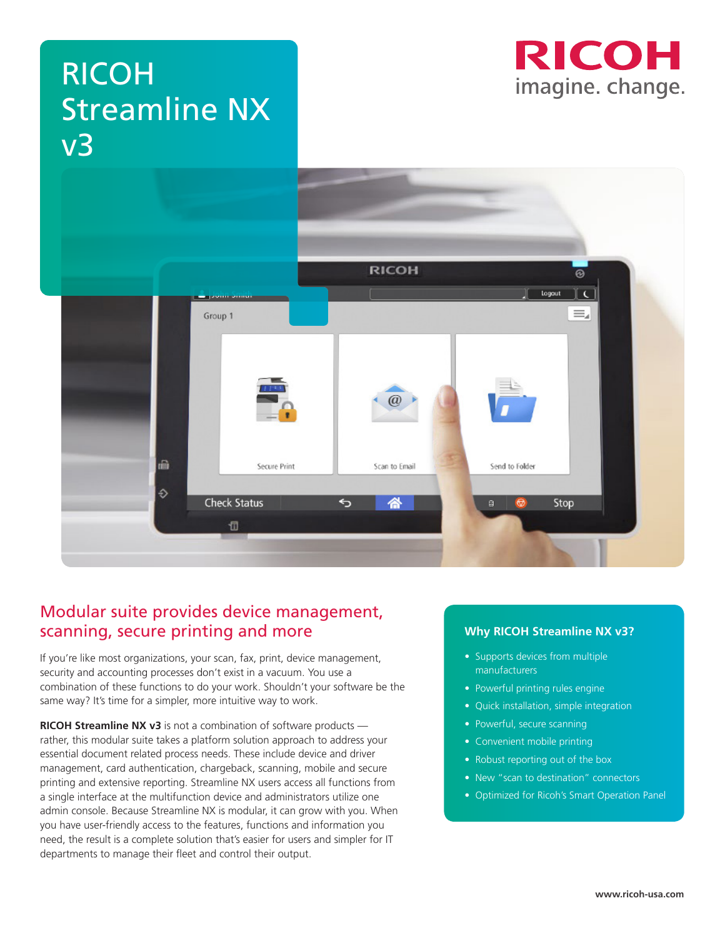# RICOH Streamline NX v3





#### Modular suite provides device management, scanning, secure printing and more

If you're like most organizations, your scan, fax, print, device management, security and accounting processes don't exist in a vacuum. You use a combination of these functions to do your work. Shouldn't your software be the same way? It's time for a simpler, more intuitive way to work.

**RICOH Streamline NX v3** is not a combination of software products rather, this modular suite takes a platform solution approach to address your essential document related process needs. These include device and driver management, card authentication, chargeback, scanning, mobile and secure printing and extensive reporting. Streamline NX users access all functions from a single interface at the multifunction device and administrators utilize one admin console. Because Streamline NX is modular, it can grow with you. When you have user-friendly access to the features, functions and information you need, the result is a complete solution that's easier for users and simpler for IT departments to manage their fleet and control their output.

#### **Why RICOH Streamline NX v3?**

- Supports devices from multiple manufacturers
- Powerful printing rules engine
- Quick installation, simple integration
- Powerful, secure scanning
- Convenient mobile printing
- Robust reporting out of the box
- New "scan to destination" connectors
- Optimized for Ricoh's Smart Operation Panel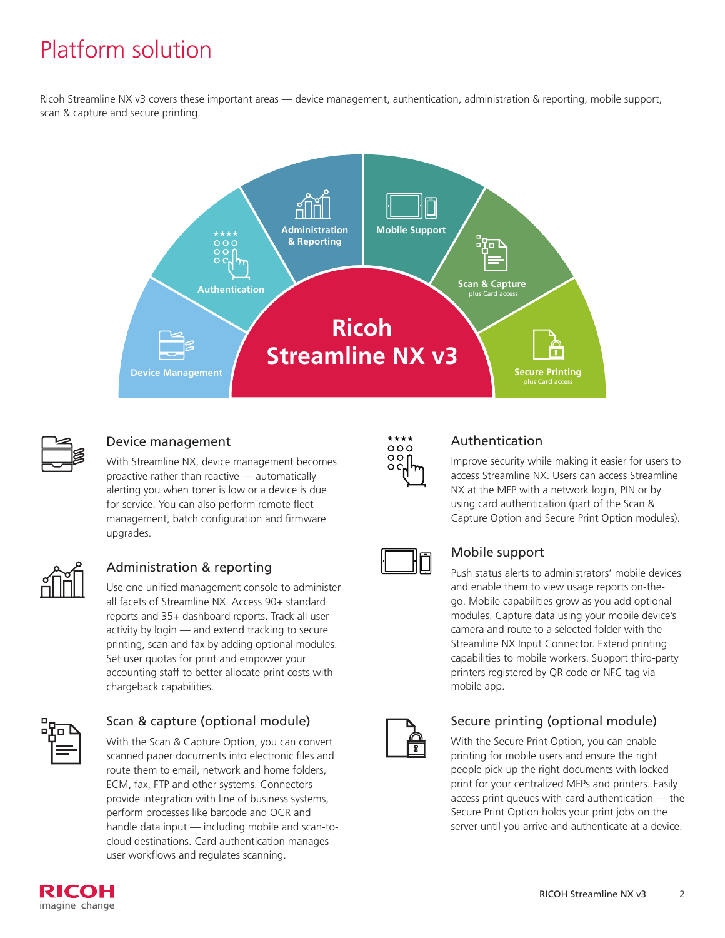## Platform solution

Ricoh Streamline NX v3 covers these important areas — device management, authentication, administration & reporting, mobile support, scan & capture and secure printing.





#### Device management

With Streamline NX, device management becomes proactive rather than reactive — automatically alerting you when toner is low or a device is due for service. You can also perform remote fleet management, batch configuration and firmware upgrades.



#### Administration & reporting

Use one unified management console to administer all facets of Streamline NX. Access 90+ standard reports and 35+ dashboard reports. Track all user activity by login — and extend tracking to secure printing, scan and fax by adding optional modules. Set user quotas for print and empower your accounting staff to better allocate print costs with chargeback capabilities.



#### Scan & capture (optional module)

With the Scan & Capture Option, you can convert scanned paper documents into electronic files and route them to email, network and home folders, ECM, fax, FTP and other systems. Connectors provide integration with line of business systems, perform processes like barcode and OCR and handle data input — including mobile and scan-tocloud destinations. Card authentication manages user workflows and regulates scanning.



#### Authentication

Improve security while making it easier for users to access Streamline NX. Users can access Streamline NX at the MFP with a network login, PIN or by using card authentication (part of the Scan & Capture Option and Secure Print Option modules).



#### Mobile support

Push status alerts to administrators' mobile devices and enable them to view usage reports on-thego. Mobile capabilities grow as you add optional modules. Capture data using your mobile device's camera and route to a selected folder with the Streamline NX Input Connector. Extend printing capabilities to mobile workers. Support third-party printers registered by QR code or NFC tag via mobile app.



#### Secure printing (optional module)

With the Secure Print Option, you can enable printing for mobile users and ensure the right people pick up the right documents with locked print for your centralized MFPs and printers. Easily access print queues with card authentication — the Secure Print Option holds your print jobs on the server until you arrive and authenticate at a device.

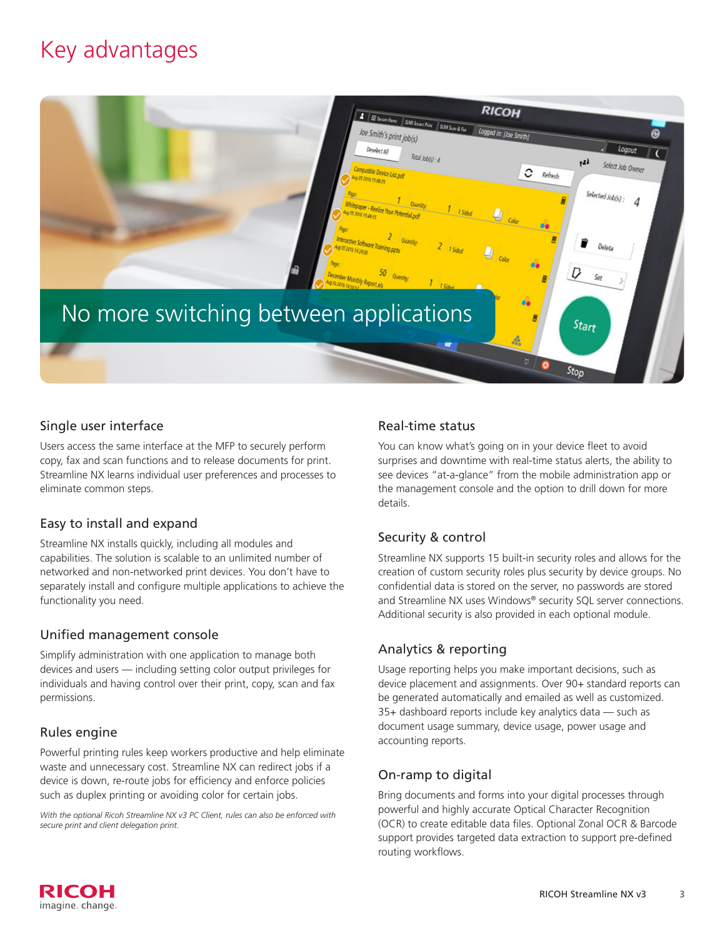## Key advantages



#### Single user interface

Users access the same interface at the MFP to securely perform copy, fax and scan functions and to release documents for print. Streamline NX learns individual user preferences and processes to eliminate common steps.

#### Easy to install and expand

Streamline NX installs quickly, including all modules and capabilities. The solution is scalable to an unlimited number of networked and non-networked print devices. You don't have to separately install and configure multiple applications to achieve the functionality you need.

#### Unified management console

Simplify administration with one application to manage both devices and users — including setting color output privileges for individuals and having control over their print, copy, scan and fax permissions.

#### Rules engine

Powerful printing rules keep workers productive and help eliminate waste and unnecessary cost. Streamline NX can redirect jobs if a device is down, re-route jobs for efficiency and enforce policies such as duplex printing or avoiding color for certain jobs.

*With the optional Ricoh Streamline NX v3 PC Client, rules can also be enforced with secure print and client delegation print.*

#### Real-time status

You can know what's going on in your device fleet to avoid surprises and downtime with real-time status alerts, the ability to see devices "at-a-glance" from the mobile administration app or the management console and the option to drill down for more details.

#### Security & control

Streamline NX supports 15 built-in security roles and allows for the creation of custom security roles plus security by device groups. No confidential data is stored on the server, no passwords are stored and Streamline NX uses Windows® security SQL server connections. Additional security is also provided in each optional module.

#### Analytics & reporting

Usage reporting helps you make important decisions, such as device placement and assignments. Over 90+ standard reports can be generated automatically and emailed as well as customized. 35+ dashboard reports include key analytics data — such as document usage summary, device usage, power usage and accounting reports.

#### On-ramp to digital

Bring documents and forms into your digital processes through powerful and highly accurate Optical Character Recognition (OCR) to create editable data files. Optional Zonal OCR & Barcode support provides targeted data extraction to support pre-defined routing workflows.

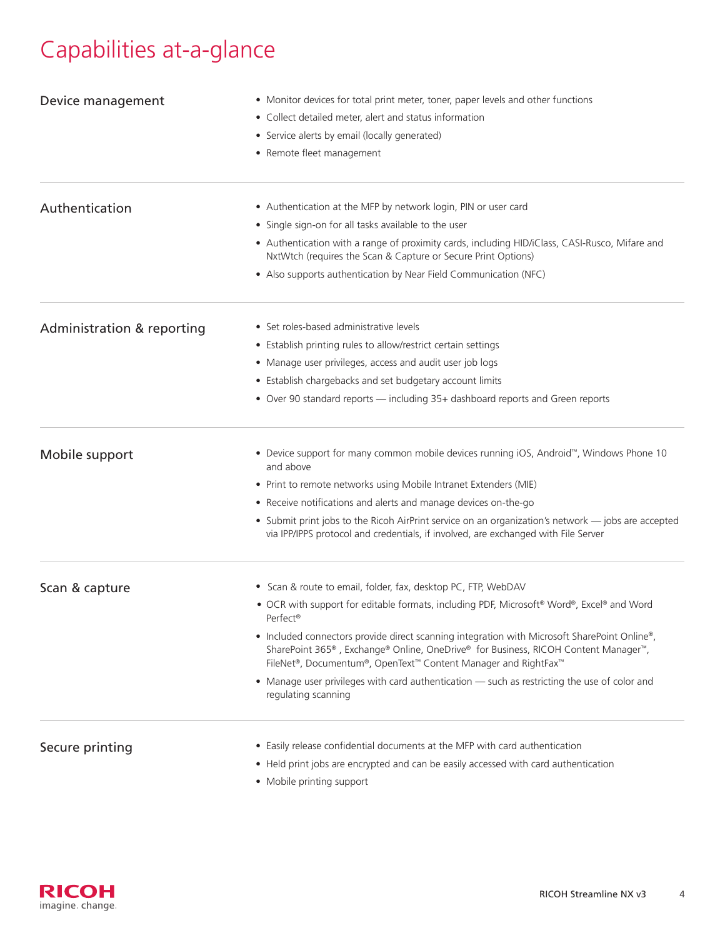## Capabilities at-a-glance

| Device management          | • Monitor devices for total print meter, toner, paper levels and other functions                                                                                                                                                                                                            |  |
|----------------------------|---------------------------------------------------------------------------------------------------------------------------------------------------------------------------------------------------------------------------------------------------------------------------------------------|--|
|                            | • Collect detailed meter, alert and status information                                                                                                                                                                                                                                      |  |
|                            | • Service alerts by email (locally generated)                                                                                                                                                                                                                                               |  |
|                            | • Remote fleet management                                                                                                                                                                                                                                                                   |  |
| Authentication             | • Authentication at the MFP by network login, PIN or user card                                                                                                                                                                                                                              |  |
|                            | • Single sign-on for all tasks available to the user                                                                                                                                                                                                                                        |  |
|                            | • Authentication with a range of proximity cards, including HID/iClass, CASI-Rusco, Mifare and<br>NxtWtch (requires the Scan & Capture or Secure Print Options)                                                                                                                             |  |
|                            | • Also supports authentication by Near Field Communication (NFC)                                                                                                                                                                                                                            |  |
| Administration & reporting | • Set roles-based administrative levels                                                                                                                                                                                                                                                     |  |
|                            | • Establish printing rules to allow/restrict certain settings                                                                                                                                                                                                                               |  |
|                            | • Manage user privileges, access and audit user job logs                                                                                                                                                                                                                                    |  |
|                            | • Establish chargebacks and set budgetary account limits                                                                                                                                                                                                                                    |  |
|                            | • Over 90 standard reports - including 35+ dashboard reports and Green reports                                                                                                                                                                                                              |  |
| Mobile support             | • Device support for many common mobile devices running iOS, Android <sup>™</sup> , Windows Phone 10<br>and above                                                                                                                                                                           |  |
|                            | • Print to remote networks using Mobile Intranet Extenders (MIE)                                                                                                                                                                                                                            |  |
|                            | • Receive notifications and alerts and manage devices on-the-go                                                                                                                                                                                                                             |  |
|                            | • Submit print jobs to the Ricoh AirPrint service on an organization's network - jobs are accepted<br>via IPP/IPPS protocol and credentials, if involved, are exchanged with File Server                                                                                                    |  |
| Scan & capture             | • Scan & route to email, folder, fax, desktop PC, FTP, WebDAV                                                                                                                                                                                                                               |  |
|                            | • OCR with support for editable formats, including PDF, Microsoft® Word®, Excel® and Word<br>Perfect <sup>®</sup>                                                                                                                                                                           |  |
|                            | • Included connectors provide direct scanning integration with Microsoft SharePoint Online®,<br>SharePoint 365 <sup>®</sup> , Exchange® Online, OneDrive® for Business, RICOH Content Manager <sup>™</sup> ,<br>FileNet <sup>®</sup> , Documentum®, OpenText™ Content Manager and RightFax™ |  |
|                            | • Manage user privileges with card authentication - such as restricting the use of color and<br>regulating scanning                                                                                                                                                                         |  |
| Secure printing            | • Easily release confidential documents at the MFP with card authentication                                                                                                                                                                                                                 |  |
|                            | • Held print jobs are encrypted and can be easily accessed with card authentication                                                                                                                                                                                                         |  |
|                            |                                                                                                                                                                                                                                                                                             |  |

• Mobile printing support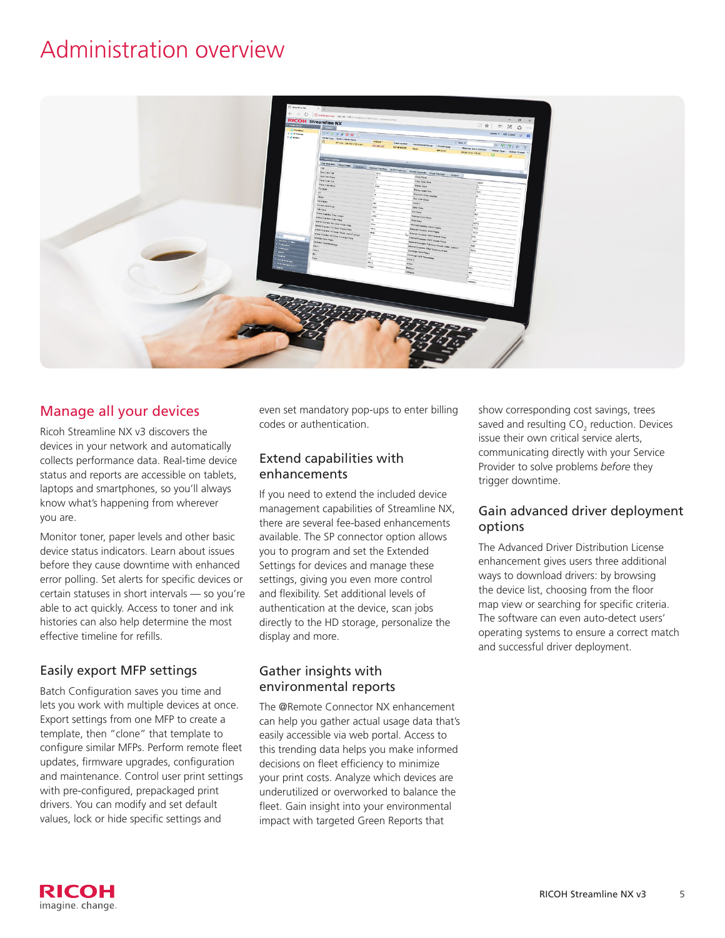### Administration overview



#### Manage all your devices

Ricoh Streamline NX v3 discovers the devices in your network and automatically collects performance data. Real-time device status and reports are accessible on tablets, laptops and smartphones, so you'll always know what's happening from wherever you are.

Monitor toner, paper levels and other basic device status indicators. Learn about issues before they cause downtime with enhanced error polling. Set alerts for specific devices or certain statuses in short intervals — so you're able to act quickly. Access to toner and ink histories can also help determine the most effective timeline for refills.

#### Easily export MFP settings

Batch Configuration saves you time and lets you work with multiple devices at once. Export settings from one MFP to create a template, then "clone" that template to configure similar MFPs. Perform remote fleet updates, firmware upgrades, configuration and maintenance. Control user print settings with pre-configured, prepackaged print drivers. You can modify and set default values, lock or hide specific settings and

even set mandatory pop-ups to enter billing codes or authentication.

#### Extend capabilities with enhancements

If you need to extend the included device management capabilities of Streamline NX, there are several fee-based enhancements available. The SP connector option allows you to program and set the Extended Settings for devices and manage these settings, giving you even more control and flexibility. Set additional levels of authentication at the device, scan jobs directly to the HD storage, personalize the display and more.

#### Gather insights with environmental reports

The @Remote Connector NX enhancement can help you gather actual usage data that's easily accessible via web portal. Access to this trending data helps you make informed decisions on fleet efficiency to minimize your print costs. Analyze which devices are underutilized or overworked to balance the fleet. Gain insight into your environmental impact with targeted Green Reports that

show corresponding cost savings, trees saved and resulting CO<sub>2</sub> reduction. Devices issue their own critical service alerts, communicating directly with your Service Provider to solve problems *before* they trigger downtime.

#### Gain advanced driver deployment options

The Advanced Driver Distribution License enhancement gives users three additional ways to download drivers: by browsing the device list, choosing from the floor map view or searching for specific criteria. The software can even auto-detect users' operating systems to ensure a correct match and successful driver deployment.

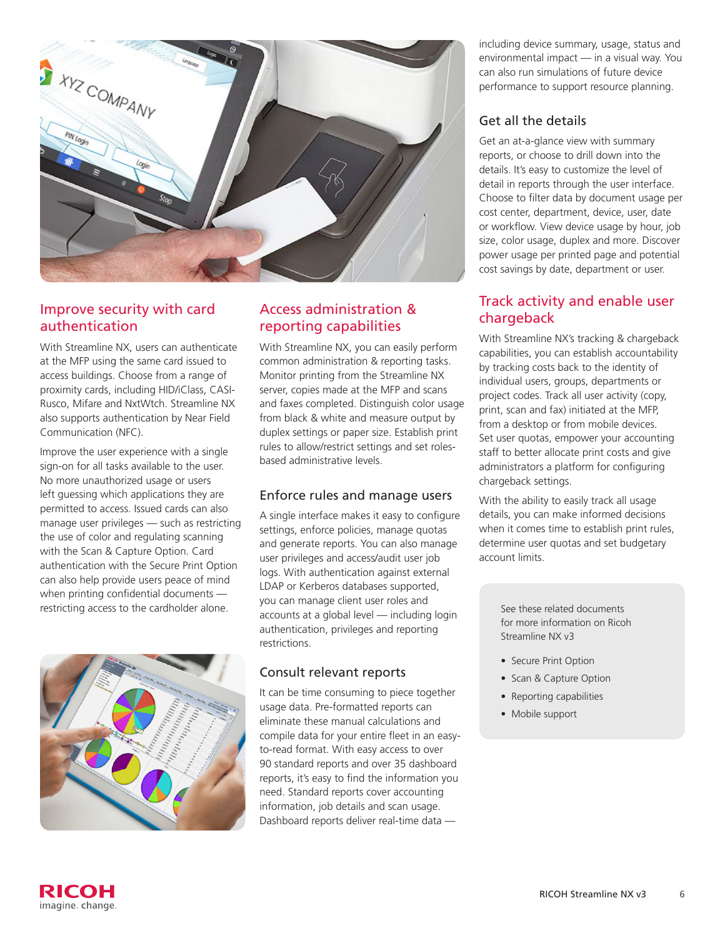

#### Improve security with card authentication

With Streamline NX, users can authenticate at the MFP using the same card issued to access buildings. Choose from a range of proximity cards, including HID/iClass, CASI-Rusco, Mifare and NxtWtch. Streamline NX also supports authentication by Near Field Communication (NFC).

Improve the user experience with a single sign-on for all tasks available to the user. No more unauthorized usage or users left guessing which applications they are permitted to access. Issued cards can also manage user privileges — such as restricting the use of color and regulating scanning with the Scan & Capture Option. Card authentication with the Secure Print Option can also help provide users peace of mind when printing confidential documents restricting access to the cardholder alone.



#### Access administration & reporting capabilities

With Streamline NX, you can easily perform common administration & reporting tasks. Monitor printing from the Streamline NX server, copies made at the MFP and scans and faxes completed. Distinguish color usage from black & white and measure output by duplex settings or paper size. Establish print rules to allow/restrict settings and set rolesbased administrative levels.

#### Enforce rules and manage users

A single interface makes it easy to configure settings, enforce policies, manage quotas and generate reports. You can also manage user privileges and access/audit user job logs. With authentication against external LDAP or Kerberos databases supported, you can manage client user roles and accounts at a global level — including login authentication, privileges and reporting restrictions.

#### Consult relevant reports

It can be time consuming to piece together usage data. Pre-formatted reports can eliminate these manual calculations and compile data for your entire fleet in an easyto-read format. With easy access to over 90 standard reports and over 35 dashboard reports, it's easy to find the information you need. Standard reports cover accounting information, job details and scan usage. Dashboard reports deliver real-time data —

including device summary, usage, status and environmental impact — in a visual way. You can also run simulations of future device performance to support resource planning.

#### Get all the details

Get an at-a-glance view with summary reports, or choose to drill down into the details. It's easy to customize the level of detail in reports through the user interface. Choose to filter data by document usage per cost center, department, device, user, date or workflow. View device usage by hour, job size, color usage, duplex and more. Discover power usage per printed page and potential cost savings by date, department or user.

#### Track activity and enable user chargeback

With Streamline NX's tracking & chargeback capabilities, you can establish accountability by tracking costs back to the identity of individual users, groups, departments or project codes. Track all user activity (copy, print, scan and fax) initiated at the MFP, from a desktop or from mobile devices. Set user quotas, empower your accounting staff to better allocate print costs and give administrators a platform for configuring chargeback settings.

With the ability to easily track all usage details, you can make informed decisions when it comes time to establish print rules, determine user quotas and set budgetary account limits.

> See these related documents for more information on Ricoh Streamline NX v3

- Secure Print Option
- Scan & Capture Option
- Reporting capabilities
- Mobile support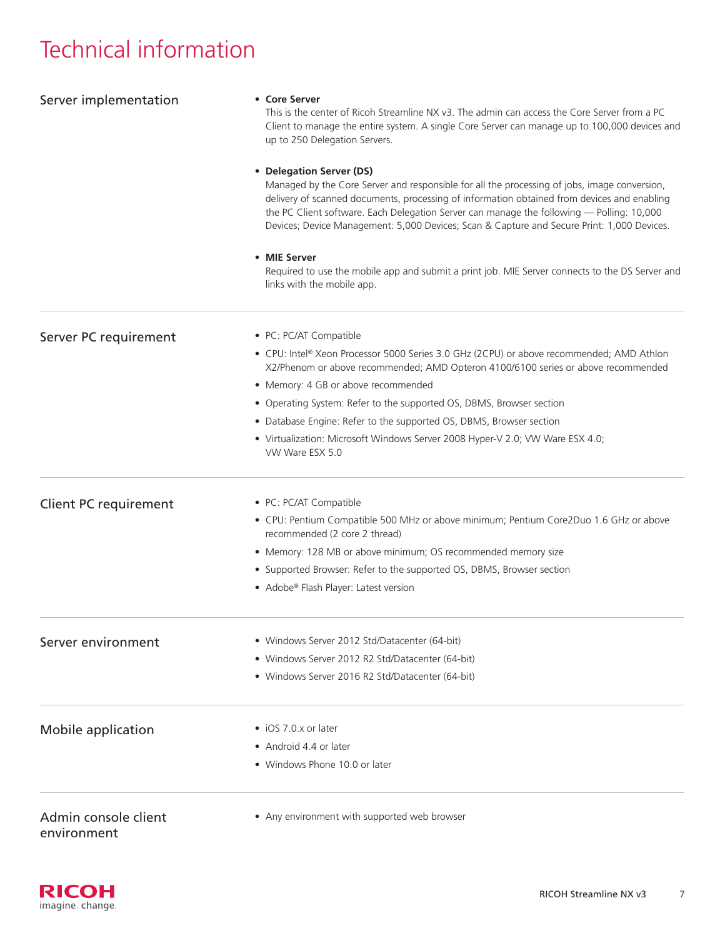## Technical information

| Server implementation                                                                                                                                                         | • Core Server<br>This is the center of Ricoh Streamline NX v3. The admin can access the Core Server from a PC<br>Client to manage the entire system. A single Core Server can manage up to 100,000 devices and<br>up to 250 Delegation Servers.                                                                                                                                                                                                                                                                                                                     |                       |
|-------------------------------------------------------------------------------------------------------------------------------------------------------------------------------|---------------------------------------------------------------------------------------------------------------------------------------------------------------------------------------------------------------------------------------------------------------------------------------------------------------------------------------------------------------------------------------------------------------------------------------------------------------------------------------------------------------------------------------------------------------------|-----------------------|
|                                                                                                                                                                               | • Delegation Server (DS)<br>Managed by the Core Server and responsible for all the processing of jobs, image conversion,<br>delivery of scanned documents, processing of information obtained from devices and enabling<br>the PC Client software. Each Delegation Server can manage the following - Polling: 10,000<br>Devices; Device Management: 5,000 Devices; Scan & Capture and Secure Print: 1,000 Devices.<br>• MIE Server<br>Required to use the mobile app and submit a print job. MIE Server connects to the DS Server and<br>links with the mobile app. |                       |
|                                                                                                                                                                               |                                                                                                                                                                                                                                                                                                                                                                                                                                                                                                                                                                     | Server PC requirement |
| • CPU: Intel® Xeon Processor 5000 Series 3.0 GHz (2CPU) or above recommended; AMD Athlon<br>X2/Phenom or above recommended; AMD Opteron 4100/6100 series or above recommended |                                                                                                                                                                                                                                                                                                                                                                                                                                                                                                                                                                     |                       |
| • Memory: 4 GB or above recommended                                                                                                                                           |                                                                                                                                                                                                                                                                                                                                                                                                                                                                                                                                                                     |                       |
| • Operating System: Refer to the supported OS, DBMS, Browser section                                                                                                          |                                                                                                                                                                                                                                                                                                                                                                                                                                                                                                                                                                     |                       |
| • Database Engine: Refer to the supported OS, DBMS, Browser section                                                                                                           |                                                                                                                                                                                                                                                                                                                                                                                                                                                                                                                                                                     |                       |
| • Virtualization: Microsoft Windows Server 2008 Hyper-V 2.0; VW Ware ESX 4.0;<br>VW Ware ESX 5.0                                                                              |                                                                                                                                                                                                                                                                                                                                                                                                                                                                                                                                                                     |                       |
| Client PC requirement                                                                                                                                                         | • PC: PC/AT Compatible                                                                                                                                                                                                                                                                                                                                                                                                                                                                                                                                              |                       |
|                                                                                                                                                                               | • CPU: Pentium Compatible 500 MHz or above minimum; Pentium Core2Duo 1.6 GHz or above<br>recommended (2 core 2 thread)                                                                                                                                                                                                                                                                                                                                                                                                                                              |                       |
|                                                                                                                                                                               | • Memory: 128 MB or above minimum; OS recommended memory size                                                                                                                                                                                                                                                                                                                                                                                                                                                                                                       |                       |
|                                                                                                                                                                               | • Supported Browser: Refer to the supported OS, DBMS, Browser section                                                                                                                                                                                                                                                                                                                                                                                                                                                                                               |                       |
|                                                                                                                                                                               | • Adobe® Flash Player: Latest version                                                                                                                                                                                                                                                                                                                                                                                                                                                                                                                               |                       |
| Server environment                                                                                                                                                            | • Windows Server 2012 Std/Datacenter (64-bit)                                                                                                                                                                                                                                                                                                                                                                                                                                                                                                                       |                       |
|                                                                                                                                                                               | • Windows Server 2012 R2 Std/Datacenter (64-bit)                                                                                                                                                                                                                                                                                                                                                                                                                                                                                                                    |                       |
|                                                                                                                                                                               | • Windows Server 2016 R2 Std/Datacenter (64-bit)                                                                                                                                                                                                                                                                                                                                                                                                                                                                                                                    |                       |
| Mobile application                                                                                                                                                            | • iOS 7.0.x or later                                                                                                                                                                                                                                                                                                                                                                                                                                                                                                                                                |                       |
|                                                                                                                                                                               | • Android 4.4 or later                                                                                                                                                                                                                                                                                                                                                                                                                                                                                                                                              |                       |
|                                                                                                                                                                               | • Windows Phone 10.0 or later                                                                                                                                                                                                                                                                                                                                                                                                                                                                                                                                       |                       |
| Admin console client<br>environment                                                                                                                                           | • Any environment with supported web browser                                                                                                                                                                                                                                                                                                                                                                                                                                                                                                                        |                       |